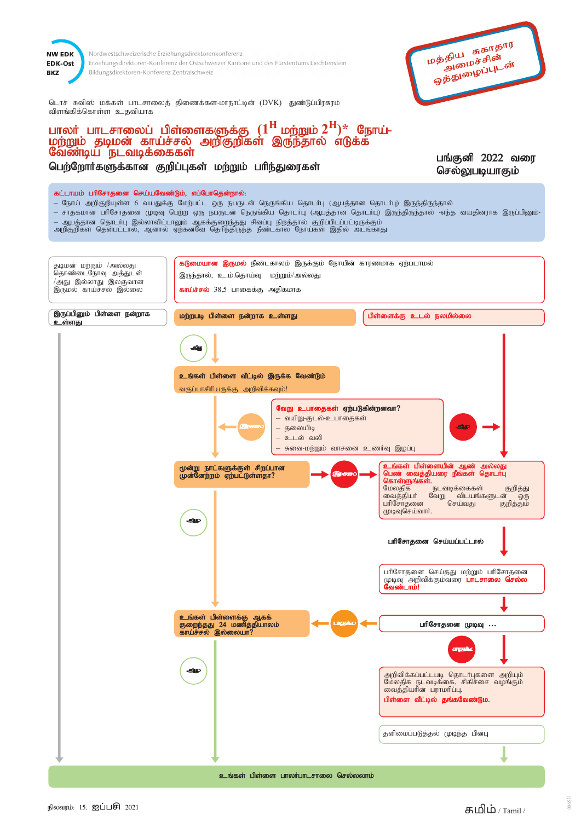

Nordwestschweizerische Erziehungsdirektorenkonferenz Erziehungsdirektoren-Konferenz der Ostschweizer Kantone und des Fürstentums Liechtenstein Bildungsdirektoren-Konferenz Zentralschweiz

மத்திய சுகாதார அமைச்சின் ஒத்துழைப்புடன்

டொச் சுவிஸ் மக்கள் பாடசாலைத் திணைக்கள-மாநாட்டின் (DVK) துண்டுப்பிரசுரம் விளங்கிக்கொள்ள உதவியாக

## பாலர் பாடசாலைப் பிள்ளைகளுக்கு  $(1^{\rm H}$  மற்றும் $2^{\rm H})^*$  நோய்-மற்றும் தடிமன் காய்ச்சல் அறிகுறிகள் இருந்தால் எடுக்க வேண்டிய நடவடிக்கைகள்

பெற்றோர்களுக்கான குறிப்புகள் மற்றும் பரிந்துரைகள்

பங்குனி 2022 வரை செல்லுபடியாகும்

## கட்டாயம் பரிசோதனை செய்யவேண்டும், எப்போதென்றால்:

- நோய் அறிகுறியுள்ள 6 வயதுக்கு மேற்பட்ட ஒரு நபருடன் நெருங்கிய தொடர்பு (ஆபத்தான தொடர்பு) இருந்திருந்தால்
- சாதகமான பரிசோதனை முடிவு பெற்ற ஒரு நபருடன் நெருங்கிய தொடர்பு (ஆபத்தான தொடர்பு) இருந்திருந்தால் -எந்த வயதினராக இருப்பினும்-— ஆபத்தான தொடா்பு இல்லாவிட்டாலும் ஆகக்குறைந்தது சிவப்பு நிறத்தால் குறிப்பிடப்பட்டிருக்கும்<br>அறிகுறிகள் தென்பட்டால், ஆனால் ஏற்கனவே தெரிந்திருந்த நீண்டகால நோய்கள் இதில் அடங்காது
- கடுமையான இருமல் நீண்டகாலம் இருக்கும் நோயின் காரணமாக ஏற்படாமல் தடிமன் மற்றும் /அல்லது தொண்டைநோவு அத்துடன் இருந்தால், உ.ம்.தொய்வு மற்றும்/அல்லது /அது இல்லாது இலகுவான இருமல் காய்ச்சல் இல்லை காய்ச்சல் 38,5 பாகைக்கு அதிகமாக இருப்பினும் பிள்ளை நன்றாக பிள்ளைக்கு உடல் நலமில்லை மற்றபடி பிள்ளை நன்றாக உள்ளது உள்ளது உங்கள் பிள்ளை வீட்டில் இருக்க வேண்டும் வகுப்பாசிரியருக்கு அறிவிக்கவும்! வேறு உபாதைகள் ஏற்படுகின்றனவா? – வயிறு-குடல்-உபாதைகள் — தலையிடி உடல் வலி – சுவை-மற்றும் வாசனை உணர்வு இழப்பு  $2.5$ <mark>கள் பிள்</mark> மூன்று நாட்களுக்குள் சிறப்பான<br>முன்னேற்றம் ஏற்பட்டுள்ளதா? பெண் வைத்தியரை<br>————————————————————  $\Omega_{\rm m}$ மேலகிக குறித்து நடவடிக்கைகள் நட<br>வேறு வட்ட<br>செய்வது வைத்தியா் விடயங்களுடன் \_ன் ஒரு<br>குறித்தும் பரிசோதனை முடிவுசெய்வார். பரிசோதனை செய்யப்பட்டால் பரிசோதனை செய்தது மற்றும் பரிசோதனை முடிவு அறிவிக்கும்வரை **பாடசாலை வேண்டாம்!**<br>**வேண்டாம்!** உங்கள் பிள்ளைக்கு ஆகக்<br>குறைந்தது 24 மணித்தியாலம்<br>காய்ச்சல் இல்லையா? பரிசோதனை முடிவு ... அறிவிக்கப்பட்டபடி தொடர்புகளை அறியும் மேலதிக நடவடிக்கை, சிகிச்சை வழங்கும்<br>வைத்தியாின் பராமாிப்பு. பிள்ளை வீட்டில் தங்க ர்டும். தனிமைப்படுத்தல் முடிந்த பின்பு உங்கள் பிள்ளை பாலர்பாடசாலை செல்லலாம்